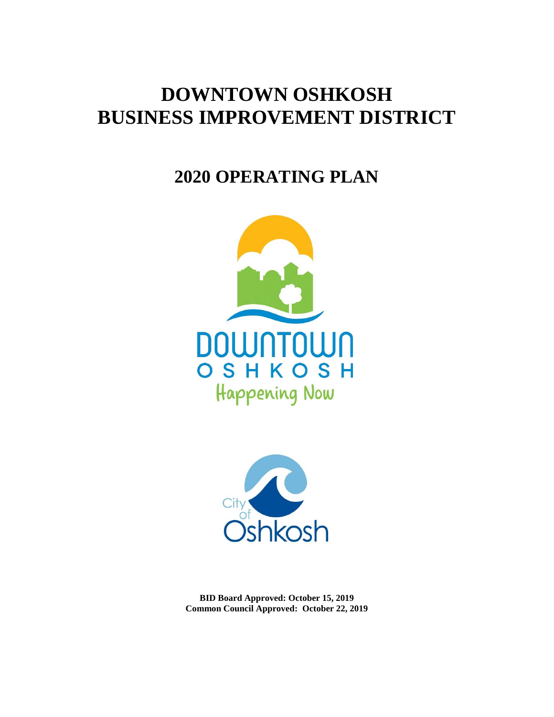# **DOWNTOWN OSHKOSH BUSINESS IMPROVEMENT DISTRICT**

# **2020 OPERATING PLAN**





**BID Board Approved: October 15, 2019 Common Council Approved: October 22, 2019**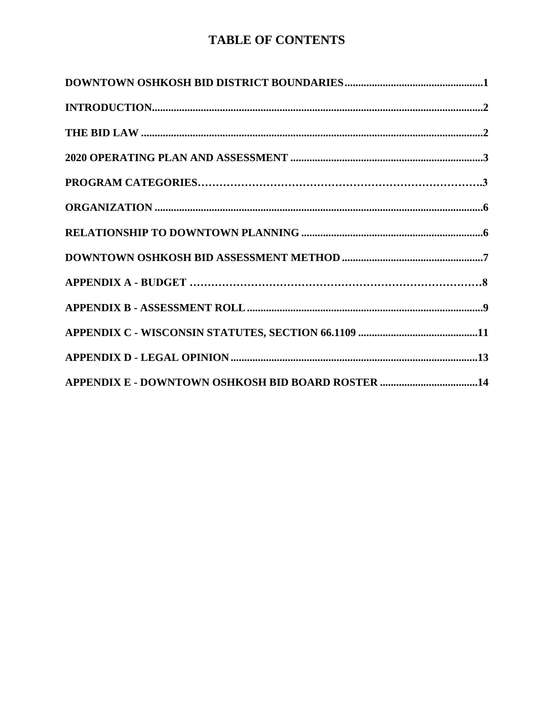# **TABLE OF CONTENTS**

| APPENDIX E - DOWNTOWN OSHKOSH BID BOARD ROSTER 14 |
|---------------------------------------------------|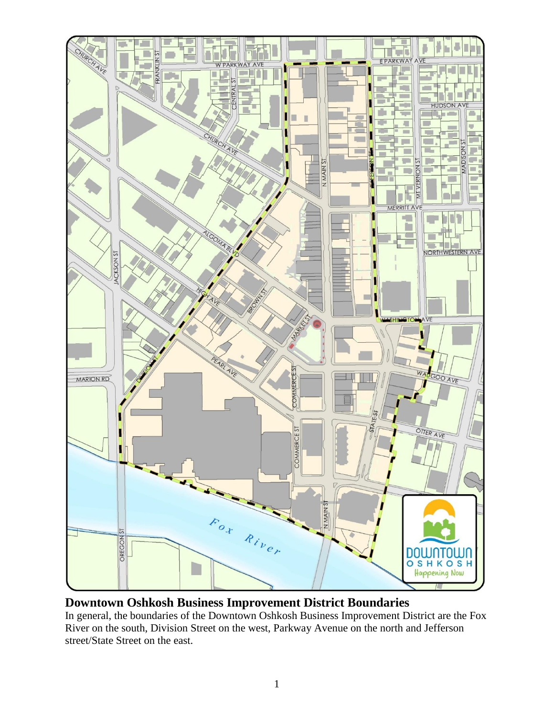

# **Downtown Oshkosh Business Improvement District Boundaries**

In general, the boundaries of the Downtown Oshkosh Business Improvement District are the Fox River on the south, Division Street on the west, Parkway Avenue on the north and Jefferson street/State Street on the east.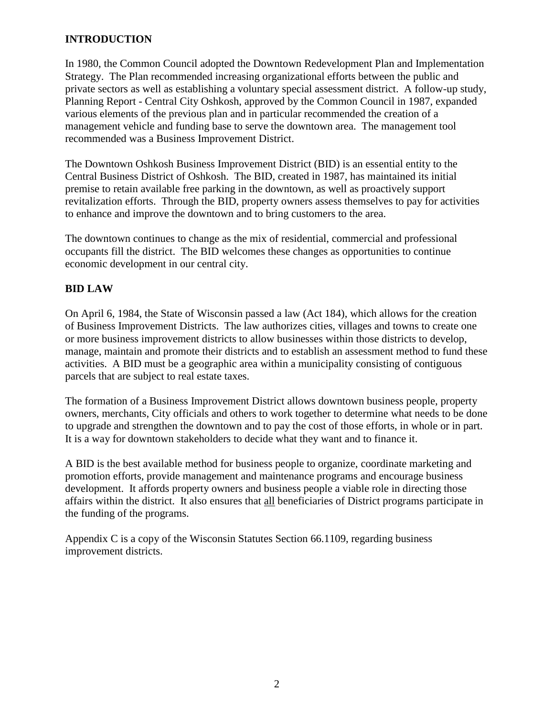# **INTRODUCTION**

In 1980, the Common Council adopted the Downtown Redevelopment Plan and Implementation Strategy. The Plan recommended increasing organizational efforts between the public and private sectors as well as establishing a voluntary special assessment district. A follow-up study, Planning Report - Central City Oshkosh, approved by the Common Council in 1987, expanded various elements of the previous plan and in particular recommended the creation of a management vehicle and funding base to serve the downtown area. The management tool recommended was a Business Improvement District.

The Downtown Oshkosh Business Improvement District (BID) is an essential entity to the Central Business District of Oshkosh. The BID, created in 1987, has maintained its initial premise to retain available free parking in the downtown, as well as proactively support revitalization efforts. Through the BID, property owners assess themselves to pay for activities to enhance and improve the downtown and to bring customers to the area.

The downtown continues to change as the mix of residential, commercial and professional occupants fill the district. The BID welcomes these changes as opportunities to continue economic development in our central city.

# **BID LAW**

On April 6, 1984, the State of Wisconsin passed a law (Act 184), which allows for the creation of Business Improvement Districts. The law authorizes cities, villages and towns to create one or more business improvement districts to allow businesses within those districts to develop, manage, maintain and promote their districts and to establish an assessment method to fund these activities. A BID must be a geographic area within a municipality consisting of contiguous parcels that are subject to real estate taxes.

The formation of a Business Improvement District allows downtown business people, property owners, merchants, City officials and others to work together to determine what needs to be done to upgrade and strengthen the downtown and to pay the cost of those efforts, in whole or in part. It is a way for downtown stakeholders to decide what they want and to finance it.

A BID is the best available method for business people to organize, coordinate marketing and promotion efforts, provide management and maintenance programs and encourage business development. It affords property owners and business people a viable role in directing those affairs within the district. It also ensures that all beneficiaries of District programs participate in the funding of the programs.

Appendix C is a copy of the Wisconsin Statutes Section 66.1109, regarding business improvement districts.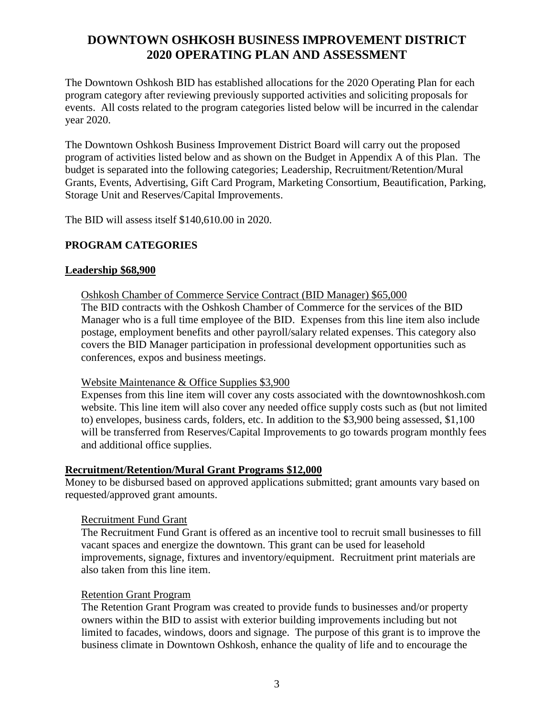# **DOWNTOWN OSHKOSH BUSINESS IMPROVEMENT DISTRICT 2020 OPERATING PLAN AND ASSESSMENT**

The Downtown Oshkosh BID has established allocations for the 2020 Operating Plan for each program category after reviewing previously supported activities and soliciting proposals for events. All costs related to the program categories listed below will be incurred in the calendar year 2020.

The Downtown Oshkosh Business Improvement District Board will carry out the proposed program of activities listed below and as shown on the Budget in Appendix A of this Plan. The budget is separated into the following categories; Leadership, Recruitment/Retention/Mural Grants, Events, Advertising, Gift Card Program, Marketing Consortium, Beautification, Parking, Storage Unit and Reserves/Capital Improvements.

The BID will assess itself \$140,610.00 in 2020.

# **PROGRAM CATEGORIES**

#### **Leadership \$68,900**

Oshkosh Chamber of Commerce Service Contract (BID Manager) \$65,000 The BID contracts with the Oshkosh Chamber of Commerce for the services of the BID Manager who is a full time employee of the BID. Expenses from this line item also include postage, employment benefits and other payroll/salary related expenses. This category also covers the BID Manager participation in professional development opportunities such as conferences, expos and business meetings.

#### Website Maintenance & Office Supplies \$3,900

Expenses from this line item will cover any costs associated with the downtownoshkosh.com website. This line item will also cover any needed office supply costs such as (but not limited to) envelopes, business cards, folders, etc. In addition to the \$3,900 being assessed, \$1,100 will be transferred from Reserves/Capital Improvements to go towards program monthly fees and additional office supplies.

#### **Recruitment/Retention/Mural Grant Programs \$12,000**

Money to be disbursed based on approved applications submitted; grant amounts vary based on requested/approved grant amounts.

## Recruitment Fund Grant

The Recruitment Fund Grant is offered as an incentive tool to recruit small businesses to fill vacant spaces and energize the downtown. This grant can be used for leasehold improvements, signage, fixtures and inventory/equipment. Recruitment print materials are also taken from this line item.

#### Retention Grant Program

The Retention Grant Program was created to provide funds to businesses and/or property owners within the BID to assist with exterior building improvements including but not limited to facades, windows, doors and signage. The purpose of this grant is to improve the business climate in Downtown Oshkosh, enhance the quality of life and to encourage the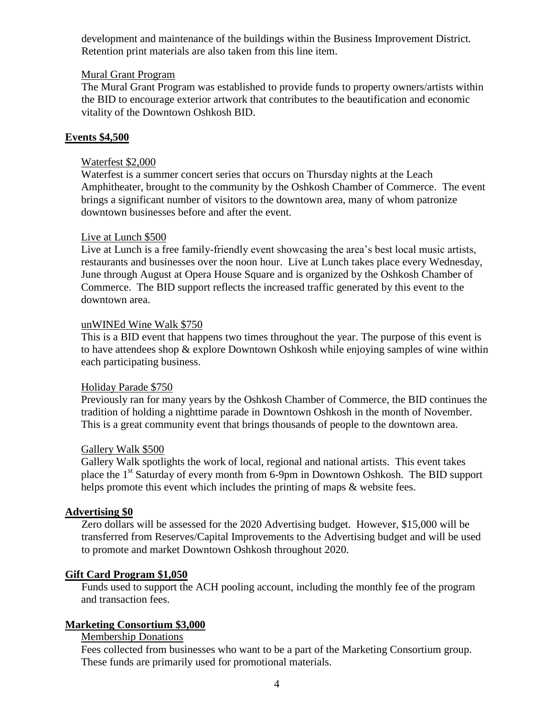development and maintenance of the buildings within the Business Improvement District. Retention print materials are also taken from this line item.

#### Mural Grant Program

The Mural Grant Program was established to provide funds to property owners/artists within the BID to encourage exterior artwork that contributes to the beautification and economic vitality of the Downtown Oshkosh BID.

#### **Events \$4,500**

#### Waterfest \$2,000

Waterfest is a summer concert series that occurs on Thursday nights at the Leach Amphitheater, brought to the community by the Oshkosh Chamber of Commerce. The event brings a significant number of visitors to the downtown area, many of whom patronize downtown businesses before and after the event.

#### Live at Lunch \$500

Live at Lunch is a free family-friendly event showcasing the area's best local music artists, restaurants and businesses over the noon hour. Live at Lunch takes place every Wednesday, June through August at Opera House Square and is organized by the Oshkosh Chamber of Commerce. The BID support reflects the increased traffic generated by this event to the downtown area.

#### unWINEd Wine Walk \$750

This is a BID event that happens two times throughout the year. The purpose of this event is to have attendees shop & explore Downtown Oshkosh while enjoying samples of wine within each participating business.

#### Holiday Parade \$750

Previously ran for many years by the Oshkosh Chamber of Commerce, the BID continues the tradition of holding a nighttime parade in Downtown Oshkosh in the month of November. This is a great community event that brings thousands of people to the downtown area.

#### Gallery Walk \$500

Gallery Walk spotlights the work of local, regional and national artists. This event takes place the  $1<sup>st</sup>$  Saturday of every month from 6-9pm in Downtown Oshkosh. The BID support helps promote this event which includes the printing of maps  $\&$  website fees.

#### **Advertising \$0**

Zero dollars will be assessed for the 2020 Advertising budget. However, \$15,000 will be transferred from Reserves/Capital Improvements to the Advertising budget and will be used to promote and market Downtown Oshkosh throughout 2020.

#### **Gift Card Program \$1,050**

Funds used to support the ACH pooling account, including the monthly fee of the program and transaction fees.

#### **Marketing Consortium \$3,000**

Membership Donations

Fees collected from businesses who want to be a part of the Marketing Consortium group. These funds are primarily used for promotional materials.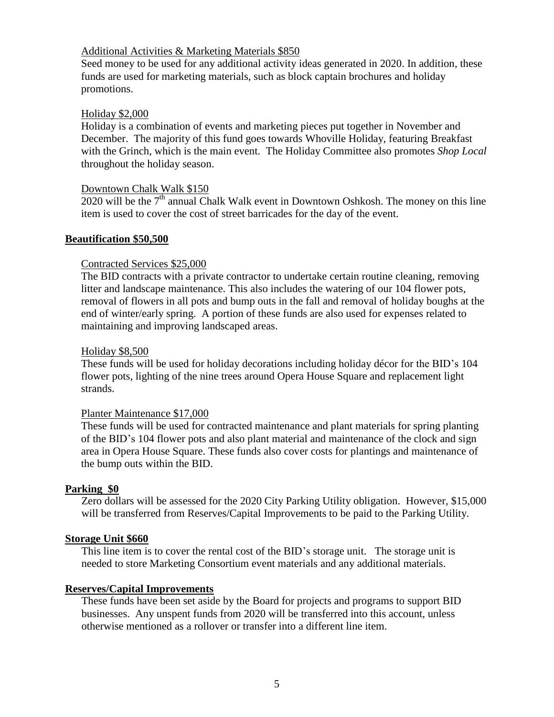#### Additional Activities & Marketing Materials \$850

Seed money to be used for any additional activity ideas generated in 2020. In addition, these funds are used for marketing materials, such as block captain brochures and holiday promotions.

#### Holiday \$2,000

Holiday is a combination of events and marketing pieces put together in November and December. The majority of this fund goes towards Whoville Holiday, featuring Breakfast with the Grinch, which is the main event. The Holiday Committee also promotes *Shop Local* throughout the holiday season.

#### Downtown Chalk Walk \$150

 $2020$  will be the  $7<sup>th</sup>$  annual Chalk Walk event in Downtown Oshkosh. The money on this line item is used to cover the cost of street barricades for the day of the event.

#### **Beautification \$50,500**

#### Contracted Services \$25,000

The BID contracts with a private contractor to undertake certain routine cleaning, removing litter and landscape maintenance. This also includes the watering of our 104 flower pots, removal of flowers in all pots and bump outs in the fall and removal of holiday boughs at the end of winter/early spring. A portion of these funds are also used for expenses related to maintaining and improving landscaped areas.

#### Holiday \$8,500

These funds will be used for holiday decorations including holiday décor for the BID's 104 flower pots, lighting of the nine trees around Opera House Square and replacement light strands.

#### Planter Maintenance \$17,000

These funds will be used for contracted maintenance and plant materials for spring planting of the BID's 104 flower pots and also plant material and maintenance of the clock and sign area in Opera House Square. These funds also cover costs for plantings and maintenance of the bump outs within the BID.

#### **Parking \$0**

Zero dollars will be assessed for the 2020 City Parking Utility obligation. However, \$15,000 will be transferred from Reserves/Capital Improvements to be paid to the Parking Utility.

#### **Storage Unit \$660**

This line item is to cover the rental cost of the BID's storage unit. The storage unit is needed to store Marketing Consortium event materials and any additional materials.

#### **Reserves/Capital Improvements**

These funds have been set aside by the Board for projects and programs to support BID businesses. Any unspent funds from 2020 will be transferred into this account, unless otherwise mentioned as a rollover or transfer into a different line item.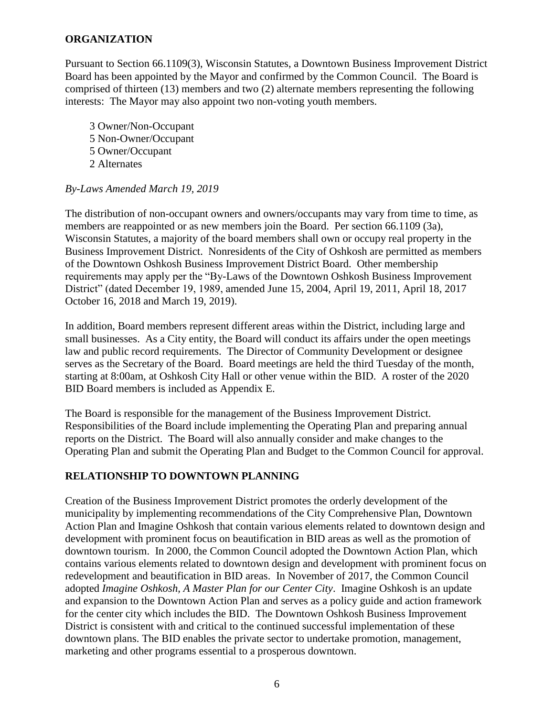#### **ORGANIZATION**

Pursuant to Section 66.1109(3), Wisconsin Statutes, a Downtown Business Improvement District Board has been appointed by the Mayor and confirmed by the Common Council. The Board is comprised of thirteen (13) members and two (2) alternate members representing the following interests: The Mayor may also appoint two non-voting youth members.

 Owner/Non-Occupant Non-Owner/Occupant Owner/Occupant Alternates

#### *By-Laws Amended March 19, 2019*

The distribution of non-occupant owners and owners/occupants may vary from time to time, as members are reappointed or as new members join the Board. Per section 66.1109 (3a), Wisconsin Statutes, a majority of the board members shall own or occupy real property in the Business Improvement District. Nonresidents of the City of Oshkosh are permitted as members of the Downtown Oshkosh Business Improvement District Board. Other membership requirements may apply per the "By-Laws of the Downtown Oshkosh Business Improvement District" (dated December 19, 1989, amended June 15, 2004, April 19, 2011, April 18, 2017 October 16, 2018 and March 19, 2019).

In addition, Board members represent different areas within the District, including large and small businesses. As a City entity, the Board will conduct its affairs under the open meetings law and public record requirements. The Director of Community Development or designee serves as the Secretary of the Board. Board meetings are held the third Tuesday of the month, starting at 8:00am, at Oshkosh City Hall or other venue within the BID. A roster of the 2020 BID Board members is included as Appendix E.

The Board is responsible for the management of the Business Improvement District. Responsibilities of the Board include implementing the Operating Plan and preparing annual reports on the District. The Board will also annually consider and make changes to the Operating Plan and submit the Operating Plan and Budget to the Common Council for approval.

## **RELATIONSHIP TO DOWNTOWN PLANNING**

Creation of the Business Improvement District promotes the orderly development of the municipality by implementing recommendations of the City Comprehensive Plan, Downtown Action Plan and Imagine Oshkosh that contain various elements related to downtown design and development with prominent focus on beautification in BID areas as well as the promotion of downtown tourism. In 2000, the Common Council adopted the Downtown Action Plan, which contains various elements related to downtown design and development with prominent focus on redevelopment and beautification in BID areas. In November of 2017, the Common Council adopted *Imagine Oshkosh, A Master Plan for our Center City*. Imagine Oshkosh is an update and expansion to the Downtown Action Plan and serves as a policy guide and action framework for the center city which includes the BID. The Downtown Oshkosh Business Improvement District is consistent with and critical to the continued successful implementation of these downtown plans. The BID enables the private sector to undertake promotion, management, marketing and other programs essential to a prosperous downtown.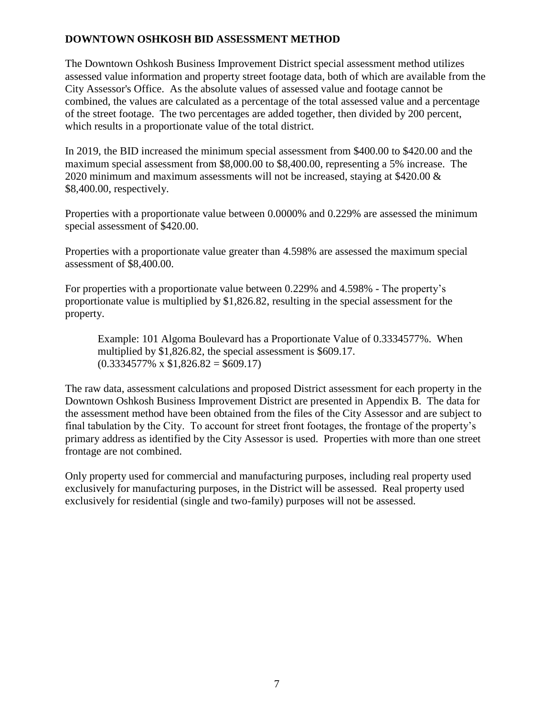## **DOWNTOWN OSHKOSH BID ASSESSMENT METHOD**

The Downtown Oshkosh Business Improvement District special assessment method utilizes assessed value information and property street footage data, both of which are available from the City Assessor's Office. As the absolute values of assessed value and footage cannot be combined, the values are calculated as a percentage of the total assessed value and a percentage of the street footage. The two percentages are added together, then divided by 200 percent, which results in a proportionate value of the total district.

In 2019, the BID increased the minimum special assessment from \$400.00 to \$420.00 and the maximum special assessment from \$8,000.00 to \$8,400.00, representing a 5% increase. The 2020 minimum and maximum assessments will not be increased, staying at \$420.00  $\&$ \$8,400.00, respectively.

Properties with a proportionate value between 0.0000% and 0.229% are assessed the minimum special assessment of \$420.00.

Properties with a proportionate value greater than 4.598% are assessed the maximum special assessment of \$8,400.00.

For properties with a proportionate value between 0.229% and 4.598% - The property's proportionate value is multiplied by \$1,826.82, resulting in the special assessment for the property.

Example: 101 Algoma Boulevard has a Proportionate Value of 0.3334577%. When multiplied by \$1,826.82, the special assessment is \$609.17.  $(0.3334577\% \times \$1,826.82 = \$609.17)$ 

The raw data, assessment calculations and proposed District assessment for each property in the Downtown Oshkosh Business Improvement District are presented in Appendix B. The data for the assessment method have been obtained from the files of the City Assessor and are subject to final tabulation by the City. To account for street front footages, the frontage of the property's primary address as identified by the City Assessor is used. Properties with more than one street frontage are not combined.

Only property used for commercial and manufacturing purposes, including real property used exclusively for manufacturing purposes, in the District will be assessed. Real property used exclusively for residential (single and two-family) purposes will not be assessed.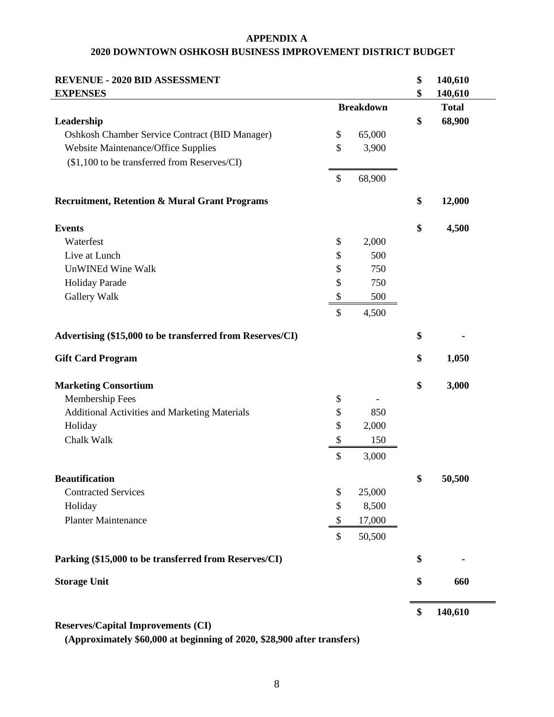#### **APPENDIX A 2020 DOWNTOWN OSHKOSH BUSINESS IMPROVEMENT DISTRICT BUDGET**

| <b>REVENUE - 2020 BID ASSESSMENT</b>                      |                   |                  | \$<br>140,610 |
|-----------------------------------------------------------|-------------------|------------------|---------------|
| <b>EXPENSES</b>                                           |                   |                  | \$<br>140,610 |
|                                                           |                   | <b>Breakdown</b> | <b>Total</b>  |
| Leadership                                                |                   |                  | \$<br>68,900  |
| Oshkosh Chamber Service Contract (BID Manager)            | \$                | 65,000           |               |
| <b>Website Maintenance/Office Supplies</b>                | \$                | 3,900            |               |
| (\$1,100 to be transferred from Reserves/CI)              |                   |                  |               |
|                                                           | \$                | 68,900           |               |
| <b>Recruitment, Retention &amp; Mural Grant Programs</b>  |                   |                  | \$<br>12,000  |
| <b>Events</b>                                             |                   |                  | \$<br>4,500   |
| Waterfest                                                 | \$                | 2,000            |               |
| Live at Lunch                                             | \$                | 500              |               |
| UnWINEd Wine Walk                                         | \$                | 750              |               |
| Holiday Parade                                            | \$                | 750              |               |
| Gallery Walk                                              | \$                | 500              |               |
|                                                           | \$                | 4,500            |               |
| Advertising (\$15,000 to be transferred from Reserves/CI) |                   |                  | \$            |
| <b>Gift Card Program</b>                                  |                   |                  | \$<br>1,050   |
| <b>Marketing Consortium</b>                               |                   |                  | \$<br>3,000   |
| Membership Fees                                           | \$                |                  |               |
| Additional Activities and Marketing Materials             | \$                | 850              |               |
| Holiday                                                   | \$                | 2,000            |               |
| Chalk Walk                                                | $\boldsymbol{\$}$ | 150              |               |
|                                                           | \$                | 3,000            |               |
| <b>Beautification</b>                                     |                   |                  | \$<br>50,500  |
| <b>Contracted Services</b>                                | \$                | 25,000           |               |
| Holiday                                                   | \$                | 8,500            |               |
| <b>Planter Maintenance</b>                                | \$                | 17,000           |               |
|                                                           | \$                | 50,500           |               |
| Parking (\$15,000 to be transferred from Reserves/CI)     |                   |                  | \$            |
| <b>Storage Unit</b>                                       |                   |                  | \$<br>660     |
|                                                           |                   |                  |               |

# **Reserves/Capital Improvements (CI)**

**(Approximately \$60,000 at beginning of 2020, \$28,900 after transfers)**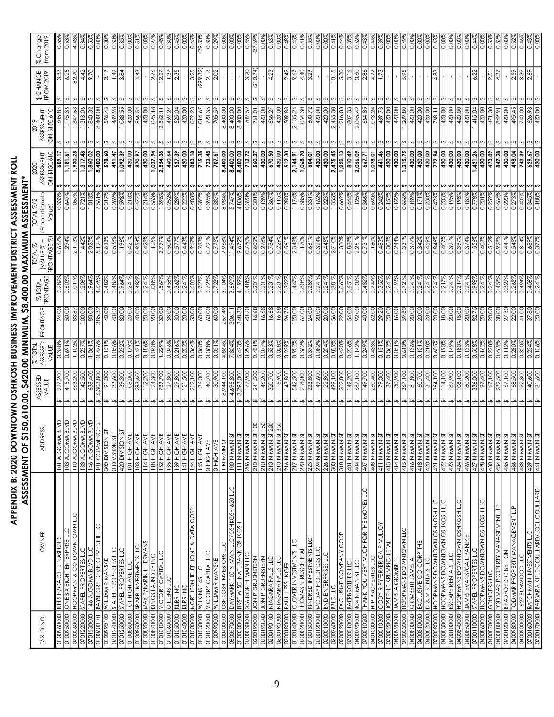# APPENDIX B: 2020 DOWNTOWN OSHKOSH BUSINESS IMPROVEMENT DISTRICT ASSESSMENT ROLL<br>ASSESSMENT OF \$150,610.00, \$420.00 MINIMUM, \$8,400.00 MAXIMUM ASSESSMENT\* **APPENDIX B: 2020 DOWNTOWN OSHKOSH BUSINESS IMPROVEMENT DISTRICT ASSESSMENT ROLL ASSESSMENT OF \$150,610.00, \$420.00 MINIMUM, \$8,400.00 MAXIMUM ASSESSMENT\***

|                                                                                                                                     |                                        |                                 |                 |                 |                           | <b>DIAL %</b>             | IOTAL %/                     |                              |                       |                                                 |                       |
|-------------------------------------------------------------------------------------------------------------------------------------|----------------------------------------|---------------------------------|-----------------|-----------------|---------------------------|---------------------------|------------------------------|------------------------------|-----------------------|-------------------------------------------------|-----------------------|
| OWNER<br>TAX ID NO.                                                                                                                 | RESS<br><b>ADD</b>                     | ASSESSED<br>VALUE               | % TOTAL         | FRONTAGE        | FRONTAGE<br><b>%TOTAL</b> | $^{+}$<br><b>IVALUE %</b> | (Proportionate               | 2020<br>ASSESSMENT           | ASSESSMENT            | CHANGE<br><b>FROM 2019</b><br>$\leftrightarrow$ | % Change<br>from 2019 |
| 010096000                                                                                                                           |                                        | 227                             | VALUE           |                 |                           | FRONTAGE %)               | Value                        | ON \$150,610<br>609.         | ON \$150,610          |                                                 |                       |
| NELS H/CAROL J NASLUND<br>ONE SIX EIGHT ENTERPRISE LLC<br>0100950000                                                                | 101 ALGOMA BLVD<br>103 ALGOMA BLVD     | 415,700<br>↮                    | 0.691%          | 24.00<br>50.00  | 0.60                      | 1.294                     | 0.647                        | 1,181.61<br>いい               |                       | 6.25                                            | 3.                    |
| 0700060000                                                                                                                          | 110 ALGOMA BLVD                        | 663,200                         | 1.1029          | 83.87           | 1.011%                    | 2.113%                    | 1.0579                       | 1,930.28<br>s                | 1,847.58              | 82.70                                           | 4.48                  |
| SIAPEL PROPERTIES LLC<br>SIAPEL PROPERTIES LLC<br>0701220000                                                                        | <b>A BLVD</b><br>138 ALGOM             | 142,500                         | 0.237           | 100.00          | 1.206                     | 1.442                     | 0.721                        | 1,317.48<br>s                | .313.06               | 4.42                                            | 0.34                  |
| 146 ALGOMA BLVD LLC<br>0701230000                                                                                                   | <b>A BLVD</b><br>146 ALGOM             | 638,400                         | 1.061           | 80.00           | 0.9649                    | 2.025                     | 1.0139                       | 1,850.02<br>$\bm{\sigma}$    | 840.32                | 9.70                                            | $\ddot{0}$            |
| BAYSHORE DEVELOPMENT II LLC<br>0100600101                                                                                           | 101 COMMERCE ST                        | 6,303,800                       | 0.476           | 385.32          | 4.645                     | 15.1219                   | 7.5619                       | 8,400.00<br>s                | 8,400.00              |                                                 | ă                     |
| WILLIAM R MANSKE<br>0100990100                                                                                                      | 5T<br>N<br>300 DIVISIOI                | 91,000                          | 0.151           | 40.00           | 0.4829                    | 0.6339                    | 0.317                        | 578.60<br>491.47<br>ののの      | 576.43                | 2.17                                            | 0.38                  |
| o'ti sallabolola talvis<br>2011 sallabolola talvis<br>0701250000<br>0701240000                                                      | 420 DIVISIO<br>NOISIAIQ 0              | 139,300<br>33,                  | 0.232           | 80.00<br>40.00  | 0.9649<br>0.48            | 1.1969<br>$\circ$         | 0.598<br>Õ                   | 1,092.39                     | 1,088.55<br>489.      | 3.84<br>ᡩ                                       | 0.35<br>ੋਂ            |
| TOT HIGH AVE LLC<br>0100860000                                                                                                      | <b>101 HIGH AVE</b>                    | 08,000                          | 0.1799          | 20.0C           | 0.241                     | 0.421                     | 0.2109                       | 420.00<br>n                  | 420.00                |                                                 | 8<br>0.00             |
| SPARR INVESTMENTS LLC<br>0100850000                                                                                                 | 103 HIGH AVE                           | 283,600                         | 0.471           | 40.00           | 0.482                     | 0.954%                    | 0.477                        | 870.97<br>s                  | 866.54                | 4.43                                            | $0.5^{\circ}$         |
| MAX P/KARIN L HERMANS<br>0000680010                                                                                                 | I14 HGH A'                             |                                 | $\frac{8}{6}$   | 20.00           | 0.241                     | 0.428                     | $\overline{S}$<br>Õ          | 420.00<br>$\sim$             | 420.                  |                                                 | ိ                     |
| KINGS LAUNDRY INC<br>0100870000                                                                                                     | T18 HOH A                              | 24,30C                          | 0.040           | 90.00           | 1.085                     |                           | 0.563                        | 1,027.94<br>s                | 1,025.18              | 2.76                                            | 0.2                   |
| <b>VICTORY CAPITAL LLC</b><br>0101010000                                                                                            | 132 HIGH AV                            | 39,700                          | .229°           | 130,00          | 1.567                     | 2.7979                    | 1.398                        | 2,554.38<br>ທ                | 2,542.1               | 12.27                                           | 0.48                  |
| <b>GILLENS LLC</b><br>0101060000                                                                                                    | 135 HIGH AV<br>139 HIGH AV             | 27,800                          | 0.046%          | 38.OC           | 0.458                     | 0.504                     | Õ                            | 460.64<br>ທ                  | 459.                  | 1.37                                            | 0.30                  |
| KLRR INC<br>010105000                                                                                                               |                                        | 29,800                          | 0.216%          | 30.00           | 0.362                     | 0.577                     | 289<br>ö                     | 527.39<br>s                  | 525.04                | 2.35                                            | 0.45                  |
| KLRR INC<br>0101040000                                                                                                              | T41 HIGH FL                            | 21,500                          | 0.202           | 20.00           | 0.241                     | 0.443                     | ö                            | 420.00<br>s                  | 420.00                |                                                 | ŏ.o                   |
| NORTHERN TELEPHONE & DATA CORP<br>0101000000                                                                                        | <b>I44 HIGH AV</b>                     | 219,100                         | 0.364%          | 50.00           | 0.603                     | 0.967                     | 0.483                        | 883.18<br>n                  | 879.23                | 3.95                                            | 0.45                  |
| WILKINS 145 LLC<br>0101030000                                                                                                       | 145 HIGH A'                            | 36,000                          | <b>990</b>      | 60.00           | c                         | 0.78                      | $\circ$                      | 715.35<br>722.48<br>ທທ       | 0.4.67                | 299.                                            | .29.                  |
| VICTORY CAPITAL LLC<br>0101020000                                                                                                   | 0 HIGH AVE                             | 40,700                          | 0.068           |                 | 0.723                     | 0.791                     | 0.395                        | s                            | 720.35                | 2.13<br>2.02                                    | 0.30                  |
| OSHKOSH INVESTORS LLC<br>WILLIAM R MANSKE<br>010040000<br>0100990000                                                                | <b>O HIGH AVE</b><br>I N MAIN ST       | 30,900<br>8,944,100             | 4.8649<br>0.051 | 60.00<br>257.49 | 3.104%<br>0.72            | 7.968<br>0.77             | 8.9849<br>ಜ್ಞ<br>ö           | 8,400.00<br>707.61<br>s      | 8,400.00<br>705.<br>R |                                                 | 0.00<br>Č.            |
| 800570000                                                                                                                           | <b>IOD N MAIN</b>                      | 695,800                         | $\frac{804}{4}$ | 306.1           |                           | કે                        |                              |                              | 8,400.                |                                                 | 읭                     |
| DAYMARK TOO N MAIN LLC/OSHKOSH 620 LLC<br>FIRST WISC NATL BANK OSHKOSH<br>0100300000                                                | <b>ITTI N MAIN</b>                     | 3,293,000                       | 5.4739          | 348.30          | 4.1999                    | 9.672                     | 4.836                        | 00.00P18<br>s                | 8,400.00              |                                                 | 0.00                  |
| 206 NORTH MAIN LLC<br>0000800020                                                                                                    | 206 N MAIN                             | 177,900                         | 0.296%          | 40.20           | 0.485                     | 0.780%                    | 0.390%                       | 712.72                       | 709.52                | 3.20                                            | 0.45                  |
| <b>JON P GRUENSTERN</b><br>0200190000                                                                                               | $\overline{5}$<br><b>NNW N 012</b>     | 241,500                         | 0.401           | 16.68           | 0.201                     | 0.602                     | 0.301                        | 550.27                       | 761.01                | 210.74                                          | $-27.65$              |
| JON P GRUENSTERN<br>0200190200                                                                                                      | <b>OSI</b><br>210 N MAIN               | 46,200                          |                 | 16.68           | 0.201                     | 0.27                      | 5                            | 420.00                       | 420.00                |                                                 | O.O                   |
| NIAGARA FALLS LLC<br>0200190100                                                                                                     | 200<br>210 N MAIN                      | 320,700                         | 33<br>0.53      | $-6.68$         | 0.201                     | 0.7349                    | 0.36                         | 670.50                       | 666.                  | 4.23                                            | š                     |
| NIAGARA FALLS LLC<br>0200190300                                                                                                     | ST B50<br>210 N MAIN                   | 16,900                          | 0.028           | 16.68           | 0.201                     | 0.229                     | 0.115                        | 420.00                       | 420.00                |                                                 | S.O                   |
| J ESSLINGER<br>PAUL<br>0200180000                                                                                                   | 216 N MAIN                             | 143,800                         |                 | 26.7            | Š<br>C                    | 0.561                     | C                            | 512.30                       | 509.                  | 2.42                                            | $\dot{\circ}$         |
| CLOVER INVESTMENTS LLC<br>0100140000                                                                                                | 217 N MAIN                             | 542,500                         |                 | 20.00           | 44.                       | 2.348                     |                              | 2,144.91<br>ഗ                | 2,135.                | 9.67                                            | $rac{4}{\sqrt{2}}$    |
| THOMAS N RUSCH ETAL<br>0200020000                                                                                                   | 220 N MAIN                             | 218,000                         | 0.362           | 67.00           | 0.808                     | 2<br>1<br>1<br>1          | 0.585                        | 1,068.70<br>ທ                | 1,064.30              | 4.40                                            | $\sim 1$              |
| KINDRED INVESTMENTS LLC<br>0100130000                                                                                               | 223 N MAIN                             | 223,800                         | 0.372           | 24.00           | 0.289                     | 0.661%                    | 0.331                        | 604.01                       | 600.7                 | 3.29                                            | 5.<br>O               |
| MCDAY HOLDINGS LLC<br>BND ENTERPRISES LLC<br>0200010000<br>0200120000                                                               | 226 N MAIN<br>224 N MAIN               | 22,800<br>49,600                | 0.204<br>.082   | 20.00<br>20.0   | 0.241<br>0.241            | 0.445<br>ö                | ö<br>ö                       | 420.00<br>420.<br>ທ          | 420.00<br>420.        |                                                 | ŏ.<br>Ö               |
| <b>BBLD LLC</b><br>0200760000                                                                                                       | <b>SOO N MAIN</b>                      | 499, IOC                        | 0.829           | 56.00           | 1.881                     | 2.7109                    | 1.355                        | 2,475.45<br>n                | 2,465.30              | 10.15                                           | $\overline{4}$        |
| 0200820000                                                                                                                          | 318 N MAIN                             | 282,800                         | 0.470           | 72.00           | 0.868                     | $338^{\circ}$             | 0.669                        | 1,222.13                     | 1,216.83              | 5.30                                            | 0.44                  |
| EXCLUSIVE COMPANY CORP<br>BAERBROTHER LLC<br>0700010000                                                                             | 401 N MAIN                             | 42,200                          |                 | 54.00           | 0.651                     | 0.887                     | 0.444                        | 810.49                       | 209                   | 3.16                                            | 3                     |
| 404 N MAIN ST LLC<br>0400790000                                                                                                     | <b>404 N MAIN</b>                      | 687, IOC                        | 1.142           | 92.00           | $\frac{108}{1}$           | 2.2519                    |                              | 2,056.09<br>s                | 2,045.49              | 10.60                                           | 0.5                   |
| THANK YOU VERY MUCH FOR THE MONEY LLC<br>0700010200                                                                                 | 407 N MAIN                             | 149,700                         | 0.2499          | 40.00           | 0.4829                    | 0.731%                    | 0.366%                       | 667.71<br>n                  | 664.85                | 2.86                                            | 0.43                  |
| <b>EKP PROPERTIES LLC</b><br>0401000000                                                                                             | <b>HIP/N N N 11 P</b><br>11 N MAIN     | 260,400                         | 0.433           | 62.00           | 0.747                     | 1.180                     | 0.5909                       | 1,078.01                     | 1,073.24              | 4.77                                            | $\overline{0.4}$      |
| CODY R PYFER/ERICA P MULLOY<br>0700010300                                                                                           | l ∾                                    | 79,000                          | 0.131%          | 29.20           | 0.352                     | 0.4839                    | 0.2429                       | 441.46<br>s                  | 439.73                | 1.73                                            | 0.3                   |
| JOSEPH F KRUMRICH ETAL<br>0400990000<br>0700020000                                                                                  | 413 N MAN                              | 37,400                          | 0.062<br>0.051  | 20.0C           | 0.241                     | 0.303                     | 0.152                        | 420.00<br>420.00<br>᠊        | 420.00                |                                                 | ō.                    |
| HOOPMANS DOWNTOWN LLC<br>JAMES A GIOMBETTI<br>700030000                                                                             | <b>AI4N MAN</b>                        | 30,900<br>g<br>2                | 5               | 16.00           | 0.193                     | 0.244                     | 0.122<br>$\frac{66}{5}$<br>Õ | ∽<br>ທ⊦                      | 420.00<br>209         | 5.95                                            | $\alpha$<br>ö         |
| GIOMBETTI JAMES A<br>0400800000                                                                                                     | MWN N 9 1 P                            | 81,800                          | 0.136           | 59.80           | 0.241                     | 0.3779                    | 0.189                        | $\frac{215.75}{420.00}$<br>s | 420.00                |                                                 | ŏ.o                   |
| EXCLUSIVE CO CORP THE<br>0400810000                                                                                                 | 418 N MAIN                             | 60,700                          | $0.101\%$       | 20.0C           | 0.241                     | 0.342                     | 0.17                         | 420.00<br>n                  | 420.00                |                                                 | ŏ.                    |
| D & M RENTALS LLC<br>0400820000                                                                                                     | 420 N MAIN<br>421 N MAIN               | 31,400                          | 0.218%          | 20.0C           | 0.241%                    | 0.459                     | 0.230                        | 420.00                       | 420.00                |                                                 | ŏ.o                   |
| HOOPMANS DOWNTOWN OSHKOSH LLC<br>000080000                                                                                          |                                        | 5<br>364,                       | 0.605           | 20.0C           | 0.241                     | 0.846                     | Õ                            | 772.94<br>ູ                  | 768.                  | 4.83                                            |                       |
| HOOPMANS DOWNTOWN OSHKOSH LLC<br>0400830000                                                                                         | 422 N MAIN                             | 14,100                          | 0.190           | 18.00           | 0.217                     | 0.407                     | 0.203                        | 420.00<br>s                  | 420.00                |                                                 | ŏ.                    |
| <b>ESCAPE RENTALS LLC</b><br>0700100000<br>0000480000                                                                               | <b>HNW N 824</b>                       | 89,900                          | 0.149<br>0.180  | 20.00<br>18.00  | 0.241                     | 0.391<br>397<br>$\circ$   | 0.195<br>0.198               | 420.00<br>420.00<br>n        | 420.00<br>420.00      |                                                 | ŏ.o<br>ွ              |
| HOOPMANS DOWNTOWN OSHKOSH LLC<br><b>JAMES EVANS/GAIL PANSKE</b><br>0400850000                                                       | <b>NNW N 424</b><br>426 N MAIN         | 08,100<br>80,200                | $\frac{33}{2}$  | 20.0C           | 0.21                      | 0.37                      |                              | 420.00<br>$\bm{\sigma}$<br>∽ | 420.00                |                                                 |                       |
| STAPEL PROPERTIES LLC<br>0700110000                                                                                                 | 427 N MAIN                             | 336,000                         | 0.558<br>c,     | 82.7            | 0.998<br>0.241            | 1.556                     | 0.778<br>0.187               | 421.26<br>n                  | .415.04               | 6.22                                            | 0.44<br>ŏ.o           |
| HOOPMANS DOWNTOWN OSHKOSH LLC<br>0000980000                                                                                         | 428 N MAIN                             | 97,400                          | 0.162           | 20.0C           | 0.241                     | 0.403                     | 0.201                        | 420.00<br>n                  | 420.00                |                                                 | Ο.<br>Ο               |
| GRINDERS LLC<br>0400870000                                                                                                          |                                        | $\overline{5}$<br>$\mathcal{L}$ |                 |                 | (24)<br>O                 |                           | Ö                            |                              | 471                   | 2.51                                            | O                     |
| TOD MAR PROPERTY MANAGEMENT LLP<br>0400880000                                                                                       | l.<br>NIVN N PEP<br>NIVN N OEP         | 282,500<br>↮                    | 0.469           | 20.00           | 0.458                     | 0.5199<br>0.9289          | 0.4649                       | 473.89<br>847.28<br>ぃぃ       | 842.91                | 4.37                                            | 0.5                   |
| BRADFORD C BRITON<br>0700120000                                                                                                     | 435 N MAIN                             | 67,100<br>↮                     | 0.112           | 27.30           | 0.329                     | 0.441%                    | ö                            | 420.00<br>n                  | 420.00                |                                                 | ă                     |
| <b>TODMAR PROPERTY MANAGEMENT LLP</b><br>0400980000                                                                                 | <b>A36 N MAIN</b>                      | 68,500                          | <b>280</b><br>ö | 22.00           | 0.265                     | 0.545%                    | 0.27                         | 743.39<br>498.04<br>n        | 495.45                | 2.59                                            | 0.5                   |
|                                                                                                                                     | <b>A39 N MAIN</b><br><b>HIMM N 8EP</b> | 192,300<br>140,600<br>↮         | 0.234%<br>0.320 | 41.00<br>37.80  | 0.456%<br>64949           | 0.689%<br>0.814%          | 0.345<br>Ş<br>Õ              | 629.67<br>いい                 | 626.98<br>740.00<br>↮ | 3.39<br>2.69                                    | 0.43<br>0.46          |
| <u>040090000   1627 ELMWOOD LLC<br/>0700160000  RATCHMAN INVESTMENTS LLC<br/>0700170000  BARBARA KIFLE-COUILLARD/JOEL COUILLARD</u> | NMW N LÞÞ                              | 81,600                          | 0.136%          | 20.00           | 0.241%                    | 0.377%                    | 0.188%                       | 420.00                       | 420.00                |                                                 | 0.00                  |
|                                                                                                                                     |                                        |                                 |                 |                 |                           |                           |                              |                              |                       |                                                 |                       |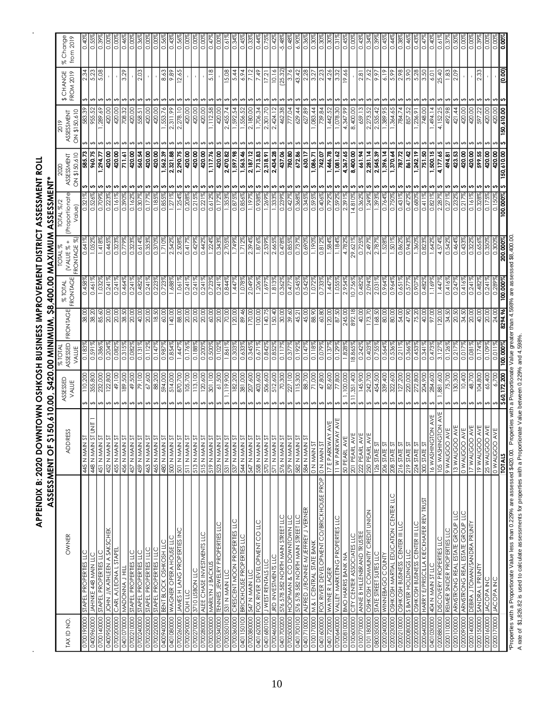| APPENDIX B: 2020 DOWNTOWN OSHKOSH BUSINESS IMPROVEMENT DISTRICT ASSESSMENT ROLL |  |
|---------------------------------------------------------------------------------|--|
|                                                                                 |  |
|                                                                                 |  |
|                                                                                 |  |
|                                                                                 |  |
|                                                                                 |  |
|                                                                                 |  |

 $\hat{\mathbf{r}}$ 

 $\hat{\mathcal{A}}$ 

| TAX ID NO.                                                                   |                                | ASSESSED                          | $%$ TOTA          |                       | <b>% TOTAL</b>    | TOTAL %                 | TOTAL %/2               | 2020                       | 2019                       |                        | % Change            |
|------------------------------------------------------------------------------|--------------------------------|-----------------------------------|-------------------|-----------------------|-------------------|-------------------------|-------------------------|----------------------------|----------------------------|------------------------|---------------------|
| OWNER                                                                        | ADDRE                          | VALUE                             | ASSESSED<br>VALUE | <b>RONIAGE</b>        | FRONTAGE          | FRONTAGE %<br>NALUE % + | (Proportionate<br>Value | ON \$150,610<br>ASSESSMENT | ON \$150,610<br>ASSESSMENT | \$ CHANGE<br>FROM 2019 | from $201$          |
| STAPEL PROPERTIES LLC                                                        | <b>12 MAN N 344</b>            | 110,200                           | 0.183             | 38.00<br>38.20        | 0.458             | 0.641                   | ö                       | 585.73<br>s                | 583.39<br>955.52<br>A      | 2.34                   | 0.40                |
| JAHNKE 448 MAIN LLC                                                          | m<br>In<br>448 N MAIN S        | 355,800                           | 0.591%            |                       | 0.461%            | 1.052%                  | 0.526%                  | 960.75<br>s                | ↮                          | 5.23                   | 0.55                |
| STAPEL PROPERTIES LLC                                                        | 451 N MAIN ST                  | 232,000                           | 0.386%            | 85.60                 | 1.032%            | 1.418%                  | 0.709%                  | 77.294.77<br>s             | 289.69<br>⊷                | 5.08                   | 0.39                |
| JOHN J/KATHLEEN A SAKSCHEK                                                   | <b>452 N MAN ST</b>            | 122,800                           | 0.204%            | 00'02                 | 0.241%            | 0.445                   | 0.2239                  | 420.00<br>いい               | 420.00                     |                        | 0.00                |
| CARL A/LEONA L STAPEI                                                        | 455 N MAIN S                   | 49,100                            | 0.0829            | 20.00<br>38.50        | 0.241%            | 0.323                   | $0.161\%$               | 420.00                     | 420.00                     |                        | 8<br>0.00           |
| MADONNA J HILL                                                               | 456 N MAIN S                   | 49,500                            | 0.315%<br>0.082%  | 20.00                 | 0.464%            | 0.3239<br>0.7799        | 0.3909                  | 420.00<br>711.61<br>ုဟ     | 708.32                     | 3.29                   | 0.46                |
| STAPEL PROPERTIES LLC<br><b>STAPEL PROPERTIES LLC</b>                        | 459 N MAIN ST<br>457 N MAIN ST | 79,100                            | 0.131%            | 40.00                 | 0.241%<br>0.482%  | 0.614%                  | 0.307%<br>0.1629        | 560.54<br>∽∽               | 420.00                     | 2.03                   | 0.36<br><b>8.00</b> |
| STAPEL PROPERTIES I LLC                                                      | 463 N MAIN ST                  | 67,600                            | 0.112%            | 20.00                 | 0.241%            | 0.353%                  | 0.177%                  | 420.00<br>n                | 420.00                     |                        | 0.00                |
| STAPEL PROPERTIES I LLC                                                      | 465 N MAIN ST                  | 88,200                            | 0.147%            | 18.50                 | 0.223%            | 0.370%                  | 0.185%                  | 420.00                     | 420.00                     |                        | 0.00                |
| <b>BENT BLOCK OSHKOSH LLC</b>                                                | <b>S NIVW N 087</b>            | 594,000                           | 0.987             | 60.00                 | 0.723             |                         | 0.855%                  | 562.39<br>いい               | 553.76                     | 8.63                   | 0.56                |
| WAGNER OPERA HOUSE LLC                                                       | 500 N MAIN ST                  | 514,000                           | 0.854%            | 140.00                | 1.688             | 2.5429                  | 1.271%                  | 2,321.88<br>∽              | 2,311.99                   | 9.89                   | $\frac{43}{1}$      |
| <b>JAMES H LANG PROPERTIES INC</b>                                           | SOT N MAIN ST                  | 870,700<br>↮                      | 1.447%            | 88.00                 | 1.061%            | 2.508%                  | 1.254%                  | 2,290.75<br>n              | 2,278.10<br>↔              | 12.65                  | 0.56                |
| <b>OLH LLC</b>                                                               | 511 N MAIN ST                  | 105,700                           | 0.176%            |                       | 0.241%            | 0.4179                  | 0.208%                  | 420.00<br>s                | 420.00                     |                        | 0.00                |
| 3710 LISBON LLC                                                              | 513 N MAIN ST                  | 113,100<br>↔                      | 0.188%            | $\frac{20.00}{20.00}$ | 0.241%            | 0.429%                  | 0.215%                  | 420.00<br>n                | 420.00<br>⊷                |                        | 0.00                |
| ALEE CHASE INVESTMENTS LLC                                                   | <b>IS NUWN N ST</b>            | 120,600                           | 0.200%            | 20.00                 | 0.241%            | 0.442%                  | 0.221%                  | 420.00<br>s                | 420.00                     |                        | <b>8.00</b>         |
| MARILYN J BACKUS                                                             | 519 N MAIN ST                  | 301,100                           | 0.500%            | 60.00                 | 0.723%            | 1.224%                  | 0.612%                  | 1,117.76<br>n              | 1,112.58                   | 5.18                   | 6.47                |
| <b>LEMMES JEMELRY PROPERTIES LLC</b>                                         | 523 N MAIN S                   | 61,500                            | 0.102             | 20.00                 | 0.241%            | 0.343                   | 0.17                    | 420.00<br>n                | 420.00                     |                        | $\alpha$            |
| 531 N MAN LLC                                                                | 531 N MAIN ST                  | .119,900                          | 1.861%            | 70.00                 | 0.8449            | 2.705%                  | 1.353%                  | 2,470.82<br>n              | 2,455.74                   | 15.08                  | $\overline{0}$ .61  |
| CRESCENT MOON PROPERTIES LLC                                                 | <b>S37 N MAIN ST</b>           | 182,200                           | 0.3039            | 120.00                | 1.447%            | 1.7499                  | 0.875%                  | 1,597.98<br>n              | 1,592.54                   | 5.44                   | 0.34                |
| BRICKHOUSE PROPERTIES LLC                                                    | 544 N MAIN ST                  | 381,000                           | 0.6339            | 89.46                 | 1.078%            | 1.712%                  | 0.856%                  | 1,563.46<br>n              | 1,556.52                   | 6.94                   | 0.45                |
| 547 N MAN LLC                                                                | 547 N MAIN ST                  | 207,600                           | 0.3459            | 170.00                | 2.049%            | 2.394%                  | 1.1979                  | 2, 187. 12<br>v            | 2,180.00                   | 7.12                   | 0.33                |
| FOX RIVER DEVELOPMENT CO LLC                                                 | <b>IS NIMW N 85</b>            | 403,600                           | 0.671%            | 100.00                | 1.206%            | 1.876%                  | 0.938%                  | 1,713.83<br>s              | 1,706.34                   | 7.49                   | 0.44                |
| J WEST RENTALS LLC                                                           | 570 N MAIN ST                  | 506,600                           | 0.8429            | 140.75                | 1.6979            | 2.5399                  | 1.2699                  | 2,318.91<br>n              | 2,301.70                   | 17.21                  | 0.75                |
| JRD INVESTMENTS LLC                                                          | 571 N MAIN ST                  | 512,600                           | 0.852             | 150.40                | 1.813             | 2.665                   | 1.333%                  | 2,434.28<br>∽              | 2, 424.12                  | 91'01                  | 0.42                |
| 576 578 582 NORTH MAIN STREET LLC<br>HOOPMAN & CO DOWNTOWN LLC               | 576 N MAIN ST                  | 70,300                            | 0.117             | 30.00                 | 0.362             | 0.478                   | 0.239%                  | 437.06<br>780.80           | 462.38                     | $\frac{25.32}{3.76}$   | $-5.48$             |
|                                                                              | 579 N MAIN ST                  | 227,100                           | 0.377%            |                       | 0.477%            | 0.8559                  | 0.427%                  | n                          | 777.04                     |                        | 0.48                |
| 271 I33MR NOWN HINON 285 8/25 9/25                                           | 582 N MAIN ST                  | 115,300                           | 0.1929            | 45.21                 | 0.545%            | 0.737                   | 0.368%                  | 672.86<br>s                | 629.44                     | 43.42                  | 6.90                |
| ALFRED J/BONNIE M/JEFREY J VERNER                                            | 584 N MAIN ST                  | 88,700                            | 0.1479            | 45.00                 | 0.542%            | 0.690%                  | 0.345%                  | 630.17<br>n                | 627.89                     | 2.28                   | 0.36                |
| M & I CENTRAL STATE BANK                                                     | <b>IS NIWN NO</b>              | 21,000                            | 0.1189            | 06'88                 | 1.0729            | 1.190                   | 0.595%                  | 7,86.71<br>n               | 083.44                     | 3.27                   | 0.30                |
| FOX RIVER DEVELOPMENT CO/BRICKHOUSE PROP                                     | <b>DN MAIN ST</b>              | 47,800                            | 0.079             | 60.80                 | 0.733             | 0.8129                  | 0.406%                  | 742.07<br>n                | 739.84                     | 2.23                   | 30<br>0.30          |
| WAYNE R LAGER                                                                | AVE<br>17 E PARKWA             | 82,600                            | 0.1379            | 120.00                | 1.4479            | 1.5849                  | 0.7929                  | 1,446.78<br>n              | ,442.52                    | 4.26                   | 0.30                |
| VALLEY MARKETING PROPERTIES LLC                                              | AY AVE<br>11 W PARKW,          | 77,800                            | 0.1299            | 87.50                 | 1.055             | 1.184%                  | 0.592%                  | 1,081.62<br>∽              | 1,078.30                   | 3.32                   | 0.31                |
| CILA CEMLEB VSSOCIVLES LTC<br>BMO HARRIS BANK NA                             | 50 PEARL AVE<br>201 PEARL AV   | 1,100,000<br>11,351,400<br>↛<br>↮ | 1.828%<br>18.865% | 245.00<br>892.18      | 2.954%<br>10.756% | 29.621%<br>4.782        | 2.391%<br>14.810%       | 4,367.65<br>8,400.00<br>n  | 4,347.99<br>8,400.00       | 19.66                  | 0.45<br>0.00        |
| ANNE B HILLENBRAND TRUSTEE                                                   | 222 PEARL AV                   | 145,900                           | 0.242             | 40.00                 | 0.482%            | 0.725%                  | 0.362%                  | 661.94<br>n<br>s           | 659.13                     | 2.81                   | 0.43                |
| OSHKOSH COMMUNITY CREDIT UNION                                               | 250 PEARL AV                   | 242,700                           | 0.403             | 73.70                 | 2.0949            | 2.497                   | .2499                   | 2,281.14<br>n              | 2,273.                     | 7.62                   |                     |
| STATE STREET SUITES LLC                                                      | 126 STATE ST                   | 454,500                           | 0.755%            | 168.50                | 2.031%            | 2.7879                  | 1.393%                  | 2,545.39<br>n              | 2,535.42                   | 9.97                   | 0.39                |
| WINNEBAGO COUNTY                                                             | 206 STATE ST                   | 339,400                           | 0.564%            | 00'08                 | 0.964%            | 1.528                   | 0.764%                  | 1,396.14<br>n              | 1,389.95                   | 6.19                   | 0.45                |
|                                                                              | 208 STATE ST                   | 322,600                           | 0.536%            | 80.00                 | 0.964%            | 1.501                   | 0.750%                  | n                          | ,364.65                    |                        | 0.44                |
| oshkosh martial education center LLC<br>oshkosh martial education center LLC | 216 STATE ST                   | 127,200<br>⊷                      | 0.211%            | 54.00                 | 0.651%            | 0.862%                  | 0.431%                  | 1,370.64<br>A37.72<br>n    | 784.74                     | 5.99                   | 0.38                |
| <b>S BAYER HOLDINGS LLC</b>                                                  | <b>219 STATE ST</b>            | 220,000                           | 0.366%            | 06'ZP                 | 0.577%            | 0.9439                  | 0.472%                  | 861.42<br>n                | 857.52                     | 3.90                   | 0.46                |
| OSHKOSH BUSINESS CENTER III LLC                                              | 224 STATE ST                   | 272,800                           | 0.453             | 75.20                 | 0.907%            | 1.360%                  | 0.680%                  | 1,242.19<br>n              | .236.91                    | 5.28                   | C.43                |
| HARRY E/PRISCILLA KIECKHAFER REV TRUST                                       | 300 STATE ST                   | 204,900                           | 0.341%            | 40.00                 | 0.482%            | 0.8239                  | 0.411%                  | 751.50<br>n                | 748.00                     | 3.50                   | 0.47                |
| 404 N MAN STLLC                                                              | ON AVE<br><b>16 WASHINGI</b>   | 284,600                           | 0.4739            | 97.00                 | 1.169             | 1.642                   | 0.821%<br>2.287%        | 1,500.15<br>ທ              | 1,494.14                   | 6.01                   | 9.                  |
| <b>DISCOVERY PROPERTIES LLC</b>                                              | AVE<br><b>IOS WASHINGTON</b>   | ,881,600                          | 3.127%            | 120.00                | 1.447%            | 4.574%                  |                         | 4,177.65<br>n              | 4,152.25                   | 25.40                  | 0.61                |
| REIMER SNIDER PROPERTIES LLC                                                 | 9 WAUGOO AVE                   | 75,700                            | 0.126%            | 34.50                 | 0.416%            | 0.542%                  | 0.271%                  | 494.81<br>∽                | 492.98                     | 1.83                   | 0.37                |
| ARMSTRONG REAL ESTATE GROUP LLC                                              | AVE<br>WE<br>13 WAUGOO         | 130,300                           | 0.217%            | 20.50                 | 0.247%            | 0.464%                  | 0.232%                  | 423.53<br>n                | 421.44                     | 2.09                   | 0.50                |
| ARMSTRONG REAL ESTATE GROUP LLC                                              | OOONYM 0                       | 10,400                            | 0.017%            | 05'18                 | 0.416%            | 0.4339                  | 0.217%                  | 420.00<br>n                | 420.00                     |                        | 0.00                |
| DEBRA J TOMAN/SANDRA PRUNTY                                                  | AVE<br>I7WAUGOO                | 48,700                            | 0.081             | 20.00                 | 0.241             | 0.322                   | 0.161%                  | 420.00<br>∽                | 420.00                     |                        | 8<br>S              |
| SANDRA L PRUNTY                                                              | AVE<br>19 WAUGOO               | 104,800                           | 0.174%            | 40.00                 | 0.482             | 0.656                   | 0.328%                  | 599.55<br>∽                | 597.22                     | 2.33                   | $\frac{3}{5}$       |
| <b>JACOPA INC</b>                                                            | AVE<br>WE<br>25 WAUGOO         | 65,400                            | 0.1099            | 20.00                 | 0.2419            | 0.350%<br>0.300%        | 0.175%                  | 420.00                     | 420.00                     |                        | o.or                |
| <b>JACOPA INC</b>                                                            | 0WAUGOO                        | 6,700                             | $\overline{0}$ .  |                       |                   |                         | 0.150%                  | 420.00<br>s                | 420.00                     |                        | 8.<br>S             |
|                                                                              | <b>TOTALS</b>                  | 172,200<br>\$60                   | 00.000            | 8294.96               | 00.000            | 200.000%                | 00.000%                 | 50,610.00                  | 50,610.00                  | $\overline{0.00}$      |                     |

\*Properties with a Proportionate Value less than 0.229% are assessed \$420.00. Properties with a Proportionate Value greater than 4.598% are assessed \$8,400.00.<br>A rate of \$1,826.82 is used to calculate assessments for prop \*Properties with a Proportionate Value less than 0.229% are assessed \$420.00. Properties with a Proportionate Value greater than 4.598% are assessed \$8,400.00. A rate of \$1,826.82 is used to calculate assessments for properties with a Proportionate Value between 0.229% and 4.598%.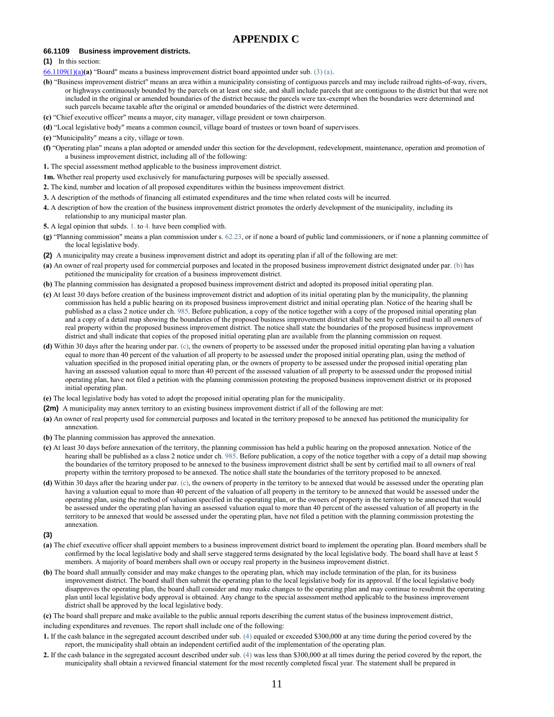#### **APPENDIX C**

#### **66.1109 Business improvement districts.**

**(1)** In this section:

- [66.1109\(1\)\(a\)](https://docs.legis.wisconsin.gov/document/statutes/66.1109(1)(a))**(a)** "Board" means a business improvement district board appointed under sub. [\(3\) \(a\).](https://docs.legis.wisconsin.gov/document/statutes/66.1109(3)(a))
- **(b)** "Business improvement district" means an area within a municipality consisting of contiguous parcels and may include railroad rights-of-way, rivers, or highways continuously bounded by the parcels on at least one side, and shall include parcels that are contiguous to the district but that were not included in the original or amended boundaries of the district because the parcels were tax-exempt when the boundaries were determined and such parcels became taxable after the original or amended boundaries of the district were determined.
- **(c)** "Chief executive officer" means a mayor, city manager, village president or town chairperson.
- **(d)** "Local legislative body" means a common council, village board of trustees or town board of supervisors.
- **(e)** "Municipality" means a city, village or town.
- **(f)** "Operating plan" means a plan adopted or amended under this section for the development, redevelopment, maintenance, operation and promotion of a business improvement district, including all of the following:
- **1.** The special assessment method applicable to the business improvement district.
- **1m.** Whether real property used exclusively for manufacturing purposes will be specially assessed.
- **2.** The kind, number and location of all proposed expenditures within the business improvement district.
- **3.** A description of the methods of financing all estimated expenditures and the time when related costs will be incurred.
- **4.** A description of how the creation of the business improvement district promotes the orderly development of the municipality, including its relationship to any municipal master plan.
- **5.** A legal opinion that subds. [1.](https://docs.legis.wisconsin.gov/document/statutes/66.1109(1)(f)1.) to [4.](https://docs.legis.wisconsin.gov/document/statutes/66.1109(1)(f)4.) have been complied with.
- **(g)** "Planning commission" means a plan commission under s. [62.23,](https://docs.legis.wisconsin.gov/document/statutes/62.23) or if none a board of public land commissioners, or if none a planning committee of the local legislative body.
- **(2)** A municipality may create a business improvement district and adopt its operating plan if all of the following are met:
- **(a)** An owner of real property used for commercial purposes and located in the proposed business improvement district designated under par. [\(b\)](https://docs.legis.wisconsin.gov/document/statutes/66.1109(2)(b)) has petitioned the municipality for creation of a business improvement district.
- **(b)** The planning commission has designated a proposed business improvement district and adopted its proposed initial operating plan.
- **(c)** At least 30 days before creation of the business improvement district and adoption of its initial operating plan by the municipality, the planning commission has held a public hearing on its proposed business improvement district and initial operating plan. Notice of the hearing shall be published as a class 2 notice under ch. [985.](https://docs.legis.wisconsin.gov/document/statutes/ch.%20985) Before publication, a copy of the notice together with a copy of the proposed initial operating plan and a copy of a detail map showing the boundaries of the proposed business improvement district shall be sent by certified mail to all owners of real property within the proposed business improvement district. The notice shall state the boundaries of the proposed business improvement district and shall indicate that copies of the proposed initial operating plan are available from the planning commission on request.
- **(d)** Within 30 days after the hearing under par. [\(c\),](https://docs.legis.wisconsin.gov/document/statutes/66.1109(2)(c)) the owners of property to be assessed under the proposed initial operating plan having a valuation equal to more than 40 percent of the valuation of all property to be assessed under the proposed initial operating plan, using the method of valuation specified in the proposed initial operating plan, or the owners of property to be assessed under the proposed initial operating plan having an assessed valuation equal to more than 40 percent of the assessed valuation of all property to be assessed under the proposed initial operating plan, have not filed a petition with the planning commission protesting the proposed business improvement district or its proposed initial operating plan.
- **(e)** The local legislative body has voted to adopt the proposed initial operating plan for the municipality.
- **(2m)** A municipality may annex territory to an existing business improvement district if all of the following are met:
- **(a)** An owner of real property used for commercial purposes and located in the territory proposed to be annexed has petitioned the municipality for annexation.
- **(b)** The planning commission has approved the annexation.
- **(c)** At least 30 days before annexation of the territory, the planning commission has held a public hearing on the proposed annexation. Notice of the hearing shall be published as a class 2 notice under ch. [985.](https://docs.legis.wisconsin.gov/document/statutes/ch.%20985) Before publication, a copy of the notice together with a copy of a detail map showing the boundaries of the territory proposed to be annexed to the business improvement district shall be sent by certified mail to all owners of real property within the territory proposed to be annexed. The notice shall state the boundaries of the territory proposed to be annexed.
- **(d)** Within 30 days after the hearing under par. [\(c\),](https://docs.legis.wisconsin.gov/document/statutes/66.1109(2m)(c)) the owners of property in the territory to be annexed that would be assessed under the operating plan having a valuation equal to more than 40 percent of the valuation of all property in the territory to be annexed that would be assessed under the operating plan, using the method of valuation specified in the operating plan, or the owners of property in the territory to be annexed that would be assessed under the operating plan having an assessed valuation equal to more than 40 percent of the assessed valuation of all property in the territory to be annexed that would be assessed under the operating plan, have not filed a petition with the planning commission protesting the annexation.
- **(3)**
- **(a)** The chief executive officer shall appoint members to a business improvement district board to implement the operating plan. Board members shall be confirmed by the local legislative body and shall serve staggered terms designated by the local legislative body. The board shall have at least 5 members. A majority of board members shall own or occupy real property in the business improvement district.
- **(b)** The board shall annually consider and may make changes to the operating plan, which may include termination of the plan, for its business improvement district. The board shall then submit the operating plan to the local legislative body for its approval. If the local legislative body disapproves the operating plan, the board shall consider and may make changes to the operating plan and may continue to resubmit the operating plan until local legislative body approval is obtained. Any change to the special assessment method applicable to the business improvement district shall be approved by the local legislative body.
- **(c)** The board shall prepare and make available to the public annual reports describing the current status of the business improvement district,
- including expenditures and revenues. The report shall include one of the following:
- **1.** If the cash balance in the segregated account described under sub. [\(4\)](https://docs.legis.wisconsin.gov/document/statutes/66.1109(4)) equaled or exceeded \$300,000 at any time during the period covered by the report, the municipality shall obtain an independent certified audit of the implementation of the operating plan.
- **2.** If the cash balance in the segregated account described under sub. [\(4\)](https://docs.legis.wisconsin.gov/document/statutes/66.1109(4)) was less than \$300,000 at all times during the period covered by the report, the municipality shall obtain a reviewed financial statement for the most recently completed fiscal year. The statement shall be prepared in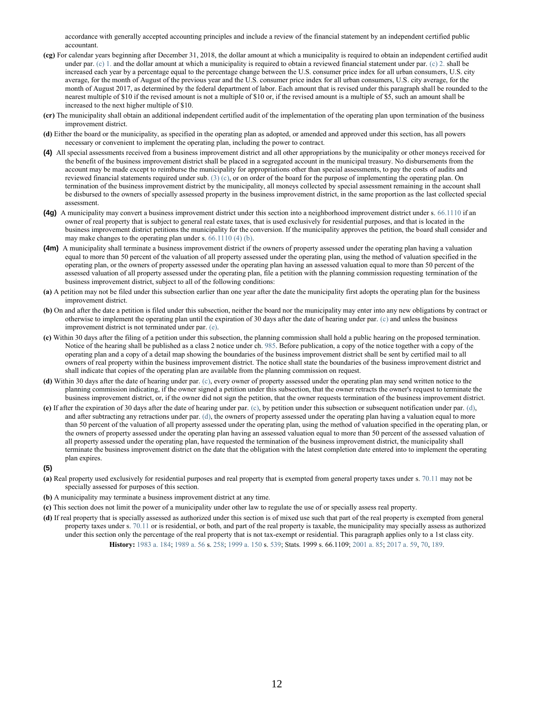accordance with generally accepted accounting principles and include a review of the financial statement by an independent certified public accountant.

- **(cg)** For calendar years beginning after December 31, 2018, the dollar amount at which a municipality is required to obtain an independent certified audit under par.  $(c)$  1. and the dollar amount at which a municipality is required to obtain a reviewed financial statement under par.  $(c)$  2. shall be increased each year by a percentage equal to the percentage change between the U.S. consumer price index for all urban consumers, U.S. city average, for the month of August of the previous year and the U.S. consumer price index for all urban consumers, U.S. city average, for the month of August 2017, as determined by the federal department of labor. Each amount that is revised under this paragraph shall be rounded to the nearest multiple of \$10 if the revised amount is not a multiple of \$10 or, if the revised amount is a multiple of \$5, such an amount shall be increased to the next higher multiple of \$10.
- **(cr)** The municipality shall obtain an additional independent certified audit of the implementation of the operating plan upon termination of the business improvement district.
- **(d)** Either the board or the municipality, as specified in the operating plan as adopted, or amended and approved under this section, has all powers necessary or convenient to implement the operating plan, including the power to contract.
- **(4)** All special assessments received from a business improvement district and all other appropriations by the municipality or other moneys received for the benefit of the business improvement district shall be placed in a segregated account in the municipal treasury. No disbursements from the account may be made except to reimburse the municipality for appropriations other than special assessments, to pay the costs of audits and reviewed financial statements required under sub.  $(3)(c)$ , or on order of the board for the purpose of implementing the operating plan. On termination of the business improvement district by the municipality, all moneys collected by special assessment remaining in the account shall be disbursed to the owners of specially assessed property in the business improvement district, in the same proportion as the last collected special assessment.
- **(4g)** A municipality may convert a business improvement district under this section into a neighborhood improvement district under s. [66.1110](https://docs.legis.wisconsin.gov/document/statutes/66.1110) if an owner of real property that is subject to general real estate taxes, that is used exclusively for residential purposes, and that is located in the business improvement district petitions the municipality for the conversion. If the municipality approves the petition, the board shall consider and may make changes to the operating plan under s. [66.1110 \(4\) \(b\).](https://docs.legis.wisconsin.gov/document/statutes/66.1110(4)(b))
- **(4m)** A municipality shall terminate a business improvement district if the owners of property assessed under the operating plan having a valuation equal to more than 50 percent of the valuation of all property assessed under the operating plan, using the method of valuation specified in the operating plan, or the owners of property assessed under the operating plan having an assessed valuation equal to more than 50 percent of the assessed valuation of all property assessed under the operating plan, file a petition with the planning commission requesting termination of the business improvement district, subject to all of the following conditions:
- **(a)** A petition may not be filed under this subsection earlier than one year after the date the municipality first adopts the operating plan for the business improvement district.
- **(b)** On and after the date a petition is filed under this subsection, neither the board nor the municipality may enter into any new obligations by contract or otherwise to implement the operating plan until the expiration of 30 days after the date of hearing under par. [\(c\)](https://docs.legis.wisconsin.gov/document/statutes/66.1109(4m)(c)) and unless the business improvement district is not terminated under par. [\(e\).](https://docs.legis.wisconsin.gov/document/statutes/66.1109(4m)(e))
- **(c)** Within 30 days after the filing of a petition under this subsection, the planning commission shall hold a public hearing on the proposed termination. Notice of the hearing shall be published as a class 2 notice under ch. [985.](https://docs.legis.wisconsin.gov/document/statutes/ch.%20985) Before publication, a copy of the notice together with a copy of the operating plan and a copy of a detail map showing the boundaries of the business improvement district shall be sent by certified mail to all owners of real property within the business improvement district. The notice shall state the boundaries of the business improvement district and shall indicate that copies of the operating plan are available from the planning commission on request.
- **(d)** Within 30 days after the date of hearing under par. [\(c\),](https://docs.legis.wisconsin.gov/document/statutes/66.1109(4m)(c)) every owner of property assessed under the operating plan may send written notice to the planning commission indicating, if the owner signed a petition under this subsection, that the owner retracts the owner's request to terminate the business improvement district, or, if the owner did not sign the petition, that the owner requests termination of the business improvement district.
- **(e)** If after the expiration of 30 days after the date of hearing under par. [\(c\),](https://docs.legis.wisconsin.gov/document/statutes/66.1109(4m)(c)) by petition under this subsection or subsequent notification under par. [\(d\),](https://docs.legis.wisconsin.gov/document/statutes/66.1109(4m)(d)) and after subtracting any retractions under par. [\(d\),](https://docs.legis.wisconsin.gov/document/statutes/66.1109(4m)(d)) the owners of property assessed under the operating plan having a valuation equal to more than 50 percent of the valuation of all property assessed under the operating plan, using the method of valuation specified in the operating plan, or the owners of property assessed under the operating plan having an assessed valuation equal to more than 50 percent of the assessed valuation of all property assessed under the operating plan, have requested the termination of the business improvement district, the municipality shall terminate the business improvement district on the date that the obligation with the latest completion date entered into to implement the operating plan expires.

#### **(5)**

- **(a)** Real property used exclusively for residential purposes and real property that is exempted from general property taxes under s. [70.11](https://docs.legis.wisconsin.gov/document/statutes/70.11) may not be specially assessed for purposes of this section.
- **(b)** A municipality may terminate a business improvement district at any time.
- **(c)** This section does not limit the power of a municipality under other law to regulate the use of or specially assess real property.
- **(d)** If real property that is specially assessed as authorized under this section is of mixed use such that part of the real property is exempted from general property taxes under s. [70.11](https://docs.legis.wisconsin.gov/document/statutes/70.11) or is residential, or both, and part of the real property is taxable, the municipality may specially assess as authorized under this section only the percentage of the real property that is not tax-exempt or residential. This paragraph applies only to a 1st class city. **History:** [1983 a. 184;](https://docs.legis.wisconsin.gov/document/acts/1983/184) [1989 a. 56](https://docs.legis.wisconsin.gov/document/acts/1989/56) s. [258;](https://docs.legis.wisconsin.gov/document/acts/1989/56,%20s.%20258) [1999 a. 150](https://docs.legis.wisconsin.gov/document/acts/1999/150) s. [539;](https://docs.legis.wisconsin.gov/document/acts/1999/150,%20s.%20539) Stats. 1999 s. 66.1109; [2001 a. 85;](https://docs.legis.wisconsin.gov/document/acts/2001/85) [2017 a. 59,](https://docs.legis.wisconsin.gov/document/acts/2017/59) [70,](https://docs.legis.wisconsin.gov/document/acts/2017/70) [189.](https://docs.legis.wisconsin.gov/document/acts/2017/189)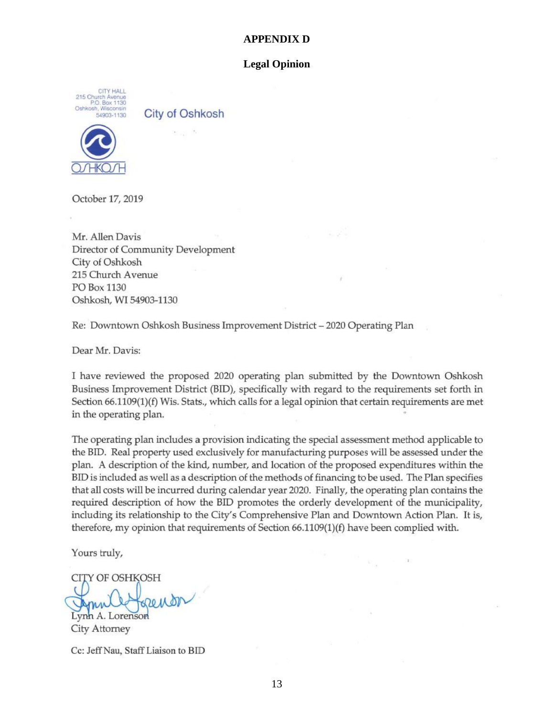#### **APPENDIX D**

#### **Legal Opinion**

CITY HALL 215 Church Avenue<br>P.O. Box 1130<br>Oshkosh, Wisconsin 54903-1130

**City of Oshkosh** 



October 17, 2019

Mr. Allen Davis Director of Community Development City of Oshkosh 215 Church Avenue PO Box 1130 Oshkosh, WI 54903-1130

Re: Downtown Oshkosh Business Improvement District - 2020 Operating Plan

Dear Mr. Davis:

I have reviewed the proposed 2020 operating plan submitted by the Downtown Oshkosh Business Improvement District (BID), specifically with regard to the requirements set forth in Section 66.1109(1)(f) Wis. Stats., which calls for a legal opinion that certain requirements are met in the operating plan.

The operating plan includes a provision indicating the special assessment method applicable to the BID. Real property used exclusively for manufacturing purposes will be assessed under the plan. A description of the kind, number, and location of the proposed expenditures within the BID is included as well as a description of the methods of financing to be used. The Plan specifies that all costs will be incurred during calendar year 2020. Finally, the operating plan contains the required description of how the BID promotes the orderly development of the municipality, including its relationship to the City's Comprehensive Plan and Downtown Action Plan. It is, therefore, my opinion that requirements of Section 66.1109(1)(f) have been complied with.

Yours truly,

**CITY OF OSHKOSH** 

renor Lynn A. Lorenson City Attorney

Cc: Jeff Nau, Staff Liaison to BID